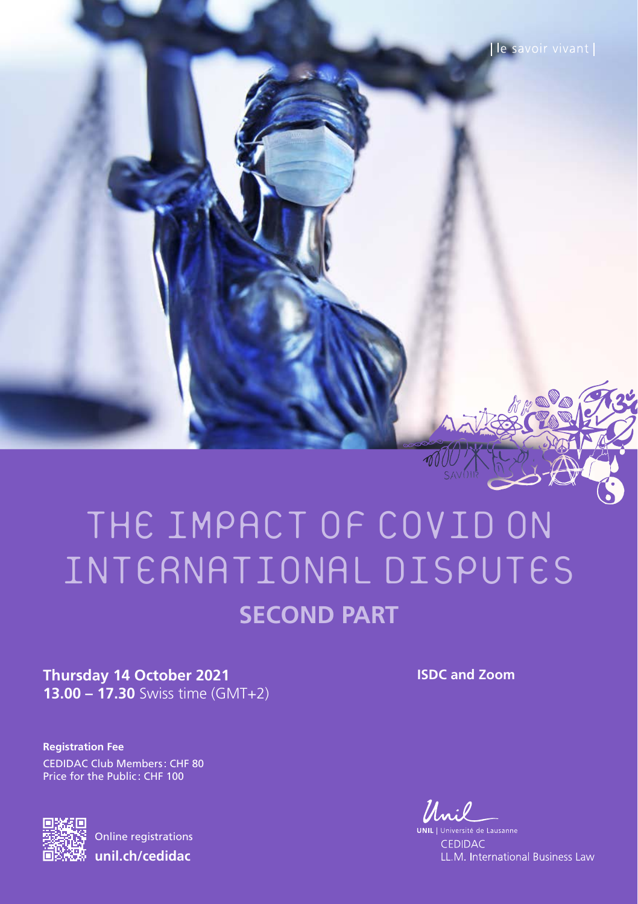

## THE  IMPACT  OF  COVID  ON INTERNATIONAL  DISPUTES **SECOND PART**

**Thursday 14 October 2021 13.00 – 17.30** Swiss time (GMT+2)

**Registration Fee** CEDIDAC Club Members: CHF 80 Price for the Public: CHF 100



Online registrations **unil.ch/cedidac**

**ISDC and Zoom**

Unil

rsité de Lausanne **TINIT** CEDIDAC LL.M. International Business Law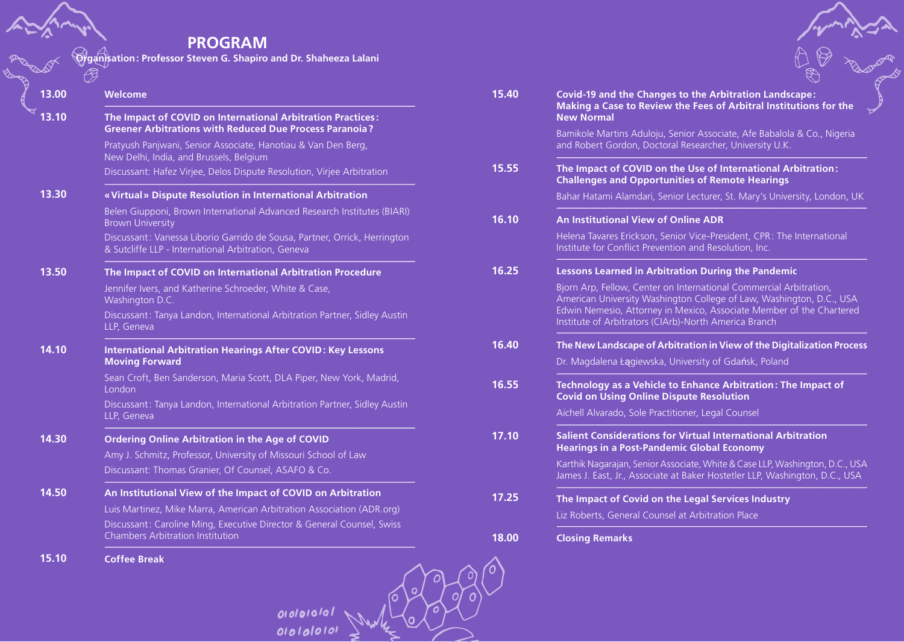## **PROGRAM**

**Organisation: Professor Steven G. Shapiro and Dr. Shaheeza Lalani**

| 13.00 | Welcome                                                                                                                          | 15.40 |
|-------|----------------------------------------------------------------------------------------------------------------------------------|-------|
| 13.10 | The Impact of COVID on International Arbitration Practices:<br><b>Greener Arbitrations with Reduced Due Process Paranoia?</b>    |       |
|       | Pratyush Panjwani, Senior Associate, Hanotiau & Van Den Berg,<br>New Delhi, India, and Brussels, Belgium                         |       |
|       | Discussant: Hafez Virjee, Delos Dispute Resolution, Virjee Arbitration                                                           | 15.55 |
| 13.30 | «Virtual» Dispute Resolution in International Arbitration                                                                        |       |
|       | Belen Giupponi, Brown International Advanced Research Institutes (BIARI)<br><b>Brown University</b>                              | 16.10 |
|       | Discussant: Vanessa Liborio Garrido de Sousa, Partner, Orrick, Herrington<br>& Sutcliffe LLP - International Arbitration, Geneva |       |
| 13.50 | The Impact of COVID on International Arbitration Procedure                                                                       | 16.25 |
|       | Jennifer Ivers, and Katherine Schroeder, White & Case,<br>Washington D.C.                                                        |       |
|       | Discussant: Tanya Landon, International Arbitration Partner, Sidley Austin<br>LLP, Geneva                                        |       |
| 14.10 | <b>International Arbitration Hearings After COVID: Key Lessons</b><br><b>Moving Forward</b>                                      | 16.40 |
|       | Sean Croft, Ben Sanderson, Maria Scott, DLA Piper, New York, Madrid,<br>London                                                   | 16.55 |
|       | Discussant: Tanya Landon, International Arbitration Partner, Sidley Austin<br>LLP, Geneva                                        |       |
| 14.30 | <b>Ordering Online Arbitration in the Age of COVID</b>                                                                           | 17.10 |
|       | Amy J. Schmitz, Professor, University of Missouri School of Law                                                                  |       |
|       | Discussant: Thomas Granier, Of Counsel, ASAFO & Co.                                                                              |       |
| 14.50 | An Institutional View of the Impact of COVID on Arbitration                                                                      | 17.25 |
|       | Luis Martinez, Mike Marra, American Arbitration Association (ADR.org)                                                            |       |
|       | Discussant: Caroline Ming, Executive Director & General Counsel, Swiss<br><b>Chambers Arbitration Institution</b>                | 18.00 |
| 15.10 | $C0$ ffaa Deaalc                                                                                                                 |       |

| 15.40 | <b>Covid-19 and the Changes to the Arbitration Landscape:</b><br>Making a Case to Review the Fees of Arbitral Institutions for the<br><b>New Normal</b>                                                                                                                     |  |  |
|-------|-----------------------------------------------------------------------------------------------------------------------------------------------------------------------------------------------------------------------------------------------------------------------------|--|--|
|       | Bamikole Martins Aduloju, Senior Associate, Afe Babalola & Co., Nigeria<br>and Robert Gordon, Doctoral Researcher, University U.K.                                                                                                                                          |  |  |
| 15.55 | The Impact of COVID on the Use of International Arbitration:<br><b>Challenges and Opportunities of Remote Hearings</b>                                                                                                                                                      |  |  |
|       | Bahar Hatami Alamdari, Senior Lecturer, St. Mary's University, London, UK                                                                                                                                                                                                   |  |  |
| 16.10 | <b>An Institutional View of Online ADR</b>                                                                                                                                                                                                                                  |  |  |
|       | Helena Tavares Erickson, Senior Vice-President, CPR: The International<br>Institute for Conflict Prevention and Resolution, Inc.                                                                                                                                            |  |  |
| 16.25 | <b>Lessons Learned in Arbitration During the Pandemic</b>                                                                                                                                                                                                                   |  |  |
|       | Bjorn Arp, Fellow, Center on International Commercial Arbitration,<br>American University Washington College of Law, Washington, D.C., USA<br>Edwin Nemesio, Attorney in Mexico, Associate Member of the Chartered<br>Institute of Arbitrators (CIArb)-North America Branch |  |  |
| 16.40 | The New Landscape of Arbitration in View of the Digitalization Process                                                                                                                                                                                                      |  |  |
|       | Dr. Magdalena Łągiewska, University of Gdańsk, Poland                                                                                                                                                                                                                       |  |  |
| 16.55 | Technology as a Vehicle to Enhance Arbitration: The Impact of<br><b>Covid on Using Online Dispute Resolution</b>                                                                                                                                                            |  |  |
|       | Aichell Alvarado, Sole Practitioner, Legal Counsel                                                                                                                                                                                                                          |  |  |
| 17.10 | <b>Salient Considerations for Virtual International Arbitration</b><br><b>Hearings in a Post-Pandemic Global Economy</b>                                                                                                                                                    |  |  |
|       | Karthik Nagarajan, Senior Associate, White & Case LLP, Washington, D.C., USA<br>James J. East, Jr., Associate at Baker Hostetler LLP, Washington, D.C., USA                                                                                                                 |  |  |
| 17.25 | The Impact of Covid on the Legal Services Industry                                                                                                                                                                                                                          |  |  |
|       | Liz Roberts, General Counsel at Arbitration Place                                                                                                                                                                                                                           |  |  |
| 18.00 | <b>Closing Remarks</b>                                                                                                                                                                                                                                                      |  |  |

**Coffee Break 15.10**

ololololol<br>Ololololol